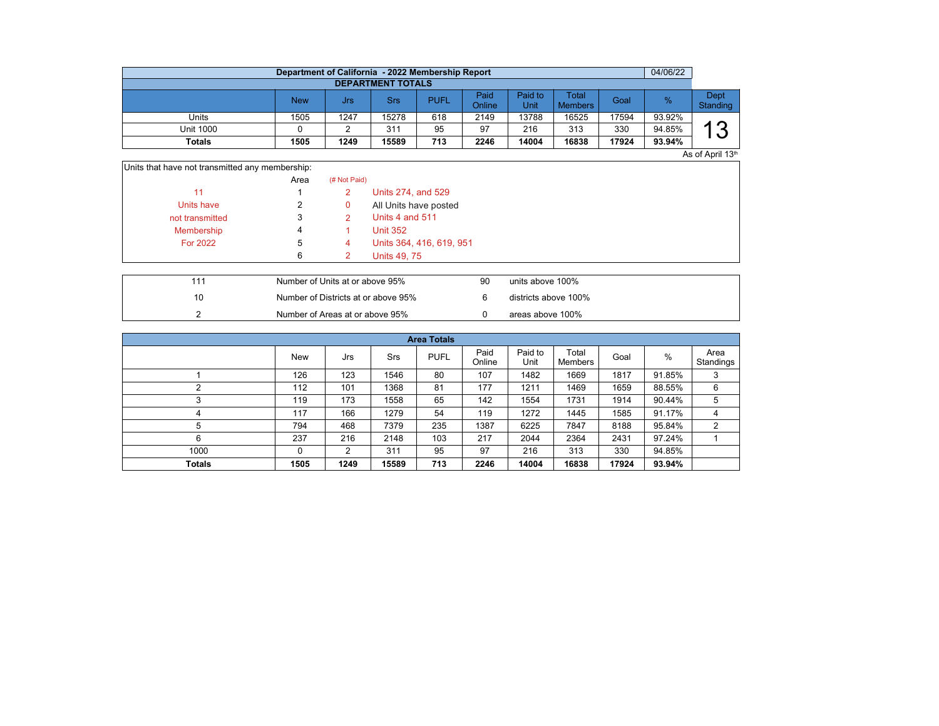|                          | Department of California - 2022 Membership Report |      |       |             |                |                 |                                |       | 04/06/22 |                  |  |  |  |  |
|--------------------------|---------------------------------------------------|------|-------|-------------|----------------|-----------------|--------------------------------|-------|----------|------------------|--|--|--|--|
| <b>DEPARTMENT TOTALS</b> |                                                   |      |       |             |                |                 |                                |       |          |                  |  |  |  |  |
|                          | <b>New</b>                                        | Jrs  | Srs   | <b>PUFL</b> | Paid<br>Online | Paid to<br>Unit | <b>Total</b><br><b>Members</b> | Goal  | $\%$     | Dept<br>Standing |  |  |  |  |
| Units                    | 1505                                              | 1247 | 15278 | 618         | 2149           | 13788           | 16525                          | 17594 | 93.92%   |                  |  |  |  |  |
| Unit 1000                |                                                   |      | 311   | 95          | 97             | 216             | 313                            | 330   | 94.85%   | 1 O              |  |  |  |  |
| <b>Totals</b>            | 1505                                              | 1249 | 15589 | 713         | 2246           | 14004           | 16838                          | 17924 | 93.94%   |                  |  |  |  |  |

 $As$  of April 13th

| Units that have not transmitted any membership: |      |              |                          |
|-------------------------------------------------|------|--------------|--------------------------|
|                                                 | Area | (# Not Paid) |                          |
| 11                                              |      | 2            | Units 274, and 529       |
| Units have                                      | 2    | 0            | All Units have posted    |
| not transmitted                                 | 3    |              | Units 4 and 511          |
| Membership                                      | 4    |              | <b>Unit 352</b>          |
| <b>For 2022</b>                                 | 5    | 4            | Units 364, 416, 619, 951 |
|                                                 | 6    |              | <b>Units 49, 75</b>      |

| 111 | Number of Units at or above 95%     | 90 | units above 100%     |
|-----|-------------------------------------|----|----------------------|
| 10  | Number of Districts at or above 95% |    | districts above 100% |
|     | Number of Areas at or above 95%     |    | areas above 100%     |

| <b>Area Totals</b> |            |      |       |             |                |                 |                  |       |        |                   |  |  |  |
|--------------------|------------|------|-------|-------------|----------------|-----------------|------------------|-------|--------|-------------------|--|--|--|
|                    | <b>New</b> | Jrs  | Srs   | <b>PUFL</b> | Paid<br>Online | Paid to<br>Unit | Total<br>Members | Goal  | $\%$   | Area<br>Standings |  |  |  |
|                    | 126        | 123  | 1546  | 80          | 107            | 1482            | 1669             | 1817  | 91.85% | 3                 |  |  |  |
| ົ                  | 112        | 101  | 1368  | 81          | 177            | 1211            | 1469             | 1659  | 88.55% | 6                 |  |  |  |
| 3                  | 119        | 173  | 1558  | 65          | 142            | 1554            | 1731             | 1914  | 90.44% | 5                 |  |  |  |
| 4                  | 117        | 166  | 1279  | 54          | 119            | 1272            | 1445             | 1585  | 91.17% | 4                 |  |  |  |
| 5                  | 794        | 468  | 7379  | 235         | 1387           | 6225            | 7847             | 8188  | 95.84% | 2                 |  |  |  |
| 6                  | 237        | 216  | 2148  | 103         | 217            | 2044            | 2364             | 2431  | 97.24% |                   |  |  |  |
| 1000               | 0          | 2    | 311   | 95          | 97             | 216             | 313              | 330   | 94.85% |                   |  |  |  |
| <b>Totals</b>      | 1505       | 1249 | 15589 | 713         | 2246           | 14004           | 16838            | 17924 | 93.94% |                   |  |  |  |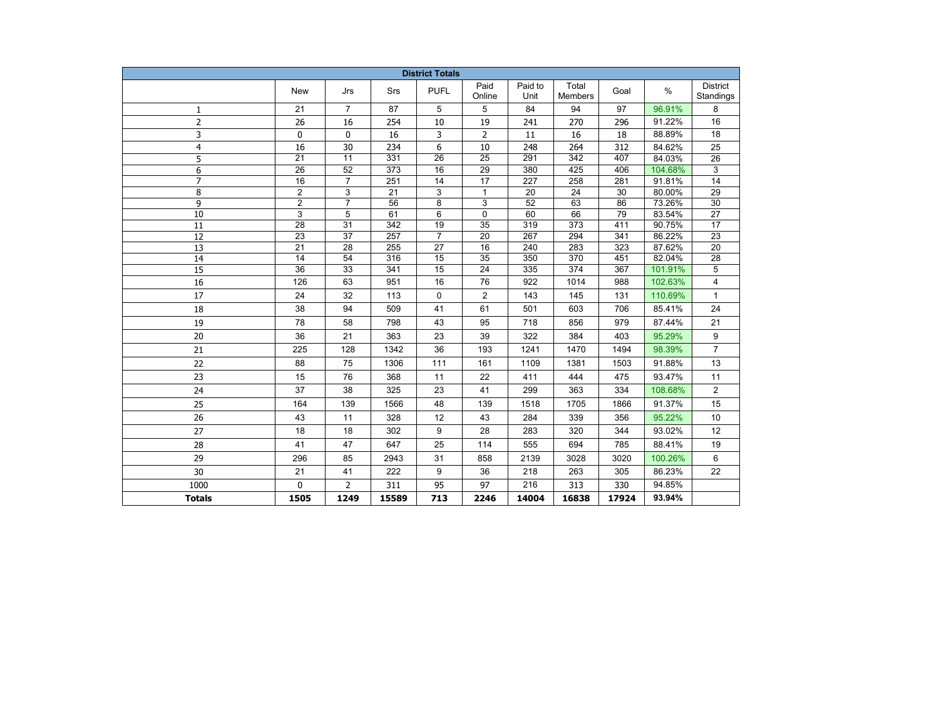| <b>District Totals</b> |                                    |                       |                 |                                    |                                    |                 |                         |            |         |                              |  |
|------------------------|------------------------------------|-----------------------|-----------------|------------------------------------|------------------------------------|-----------------|-------------------------|------------|---------|------------------------------|--|
|                        | New                                | Jrs                   | Srs             | <b>PUFL</b>                        | Paid<br>Online                     | Paid to<br>Unit | Total<br><b>Members</b> | Goal       | $\%$    | <b>District</b><br>Standings |  |
| 1                      | 21                                 | $\overline{7}$        | 87              | 5                                  | 5                                  | 84              | 94                      | 97         | 96.91%  | 8                            |  |
| $\overline{2}$         | 26                                 | 16                    | 254             | 10                                 | 19                                 | 241             | 270                     | 296        | 91.22%  | 16                           |  |
| 3                      | 0                                  | 0                     | 16              | 3                                  | 2                                  | 11              | 16                      | 18         | 88.89%  | 18                           |  |
| 4                      | 16                                 | 30                    | 234             | 6                                  | 10                                 | 248             | 264                     | 312        | 84.62%  | 25                           |  |
| 5                      | $\overline{21}$                    | $\overline{11}$       | 331             | $\overline{26}$                    | $\overline{25}$                    | 291             | 342                     | 407        | 84.03%  | 26                           |  |
| 6                      | $\overline{26}$                    | 52                    | 373             | 16                                 | 29                                 | 380             | 425                     | 406        | 104.68% | 3                            |  |
| $\overline{7}$         | 16                                 | $\overline{7}$        | 251             | 14                                 | $\overline{17}$                    | 227             | 258                     | 281        | 91.81%  | 14                           |  |
| 8                      | $\overline{2}$                     | 3                     | $\overline{21}$ | 3                                  | $\mathbf{1}$                       | 20              | $\overline{24}$         | 30         | 80.00%  | $\overline{29}$              |  |
| 9                      | $\overline{2}$                     | $\overline{7}$        | 56              | 8                                  | 3                                  | 52              | 63                      | 86         | 73.26%  | 30                           |  |
| 10                     | 3                                  | 5                     | 61              | 6                                  | 0                                  | 60              | 66                      | 79         | 83.54%  | 27                           |  |
| 11                     | 28                                 | 31                    | 342             | 19                                 | 35                                 | 319             | 373                     | 411        | 90.75%  | 17                           |  |
| 12                     | 23                                 | 37                    | 257             | 7                                  | 20                                 | 267             | 294                     | 341        | 86.22%  | 23                           |  |
| 13                     | 21                                 | 28                    | 255             | 27                                 | 16                                 | 240             | 283                     | 323        | 87.62%  | 20                           |  |
| $\overline{14}$        | $\overline{14}$<br>$\overline{36}$ | 54<br>$\overline{33}$ | 316<br>341      | $\overline{15}$<br>$\overline{15}$ | $\overline{35}$<br>$\overline{24}$ | 350<br>335      | 370<br>$\overline{374}$ | 451<br>367 | 82.04%  | $\overline{28}$              |  |
| $\overline{15}$        |                                    |                       |                 |                                    |                                    |                 |                         |            | 101.91% | $\overline{5}$               |  |
| 16                     | 126                                | 63                    | 951             | 16                                 | 76                                 | 922             | 1014                    | 988        | 102.63% | 4                            |  |
| 17                     | 24                                 | 32                    | 113             | $\mathbf 0$                        | $\overline{2}$                     | 143             | 145                     | 131        | 110.69% | $\mathbf{1}$                 |  |
| 18                     | 38                                 | 94                    | 509             | 41                                 | 61                                 | 501             | 603                     | 706        | 85.41%  | 24                           |  |
| 19                     | 78                                 | 58                    | 798             | 43                                 | 95                                 | 718             | 856                     | 979        | 87.44%  | 21                           |  |
| 20                     | 36                                 | 21                    | 363             | 23                                 | 39                                 | 322             | 384                     | 403        | 95.29%  | 9                            |  |
| 21                     | 225                                | 128                   | 1342            | 36                                 | 193                                | 1241            | 1470                    | 1494       | 98.39%  | $\overline{7}$               |  |
| 22                     | 88                                 | 75                    | 1306            | 111                                | 161                                | 1109            | 1381                    | 1503       | 91.88%  | 13                           |  |
| 23                     | 15                                 | 76                    | 368             | 11                                 | 22                                 | 411             | 444                     | 475        | 93.47%  | 11                           |  |
| 24                     | 37                                 | 38                    | 325             | 23                                 | 41                                 | 299             | 363                     | 334        | 108.68% | $\overline{2}$               |  |
| 25                     | 164                                | 139                   | 1566            | 48                                 | 139                                | 1518            | 1705                    | 1866       | 91.37%  | 15                           |  |
| 26                     | 43                                 | 11                    | 328             | 12                                 | 43                                 | 284             | 339                     | 356        | 95.22%  | 10                           |  |
| 27                     | 18                                 | 18                    | 302             | 9                                  | 28                                 | 283             | 320                     | 344        | 93.02%  | 12                           |  |
| 28                     | 41                                 | 47                    | 647             | 25                                 | 114                                | 555             | 694                     | 785        | 88.41%  | 19                           |  |
| 29                     | 296                                | 85                    | 2943            | 31                                 | 858                                | 2139            | 3028                    | 3020       | 100.26% | 6                            |  |
| 30                     | 21                                 | 41                    | 222             | 9                                  | 36                                 | 218             | 263                     | 305        | 86.23%  | 22                           |  |
| 1000                   | $\mathbf{0}$                       | $\overline{2}$        | 311             | 95                                 | 97                                 | 216             | 313                     | 330        | 94.85%  |                              |  |
| <b>Totals</b>          | 1505                               | 1249                  | 15589           | 713                                | 2246                               | 14004           | 16838                   | 17924      | 93.94%  |                              |  |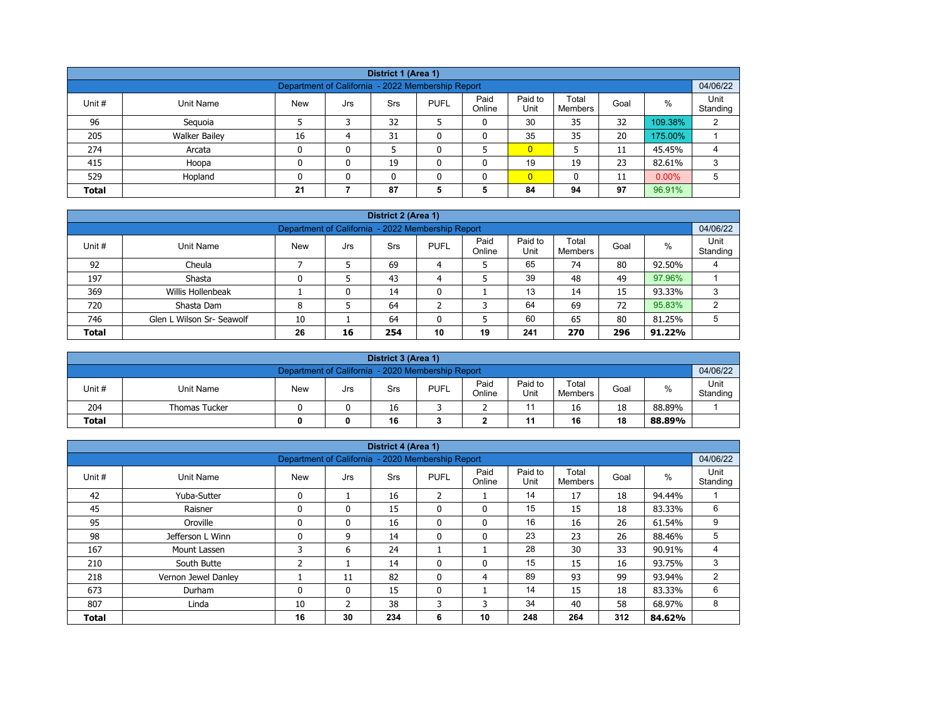| District 1 (Area 1)                                                                                                                                   |                                                                                 |    |   |    |  |   |                |    |    |         |   |  |  |
|-------------------------------------------------------------------------------------------------------------------------------------------------------|---------------------------------------------------------------------------------|----|---|----|--|---|----------------|----|----|---------|---|--|--|
| 04/06/22<br>Department of California - 2022 Membership Report                                                                                         |                                                                                 |    |   |    |  |   |                |    |    |         |   |  |  |
| Paid<br>Paid to<br>Total<br>$\%$<br>Unit #<br><b>PUFL</b><br>Goal<br>Unit Name<br><b>New</b><br><b>Srs</b><br>Jrs<br>Online<br>Unit<br><b>Members</b> |                                                                                 |    |   |    |  |   |                |    |    |         |   |  |  |
| 96                                                                                                                                                    | Seguoia                                                                         |    |   | 32 |  | 0 | 30             | 35 | 32 | 109.38% | 2 |  |  |
| 205                                                                                                                                                   | <b>Walker Bailey</b>                                                            | 16 | 4 | 31 |  | 0 | 35             | 35 | 20 | 175.00% |   |  |  |
| 274                                                                                                                                                   | Arcata                                                                          | 0  | 0 |    |  |   | $\overline{0}$ |    | 11 | 45.45%  | 4 |  |  |
| 415                                                                                                                                                   | Hoopa                                                                           | 0  | 0 | 19 |  | 0 | 19             | 19 | 23 | 82.61%  | 3 |  |  |
| 529                                                                                                                                                   | $\overline{0}$<br>$0.00\%$<br>Hopland<br>0<br>5<br>$\mathbf{0}$<br>11<br>n<br>0 |    |   |    |  |   |                |    |    |         |   |  |  |
| <b>Total</b>                                                                                                                                          | 97<br>96.91%<br>21<br>87<br>84<br>5<br>5<br>94                                  |    |   |    |  |   |                |    |    |         |   |  |  |

| District 2 (Area 1) |                                                                                                                                                  |   |   |    |   |   |    |    |    |        |   |  |  |  |
|---------------------|--------------------------------------------------------------------------------------------------------------------------------------------------|---|---|----|---|---|----|----|----|--------|---|--|--|--|
|                     | 04/06/22<br>Department of California - 2022 Membership Report                                                                                    |   |   |    |   |   |    |    |    |        |   |  |  |  |
| Unit #              | Paid<br>Paid to<br>Total<br>$\%$<br><b>PUFL</b><br><b>New</b><br>Unit Name<br><b>Srs</b><br>Goal<br>Jrs<br>Online<br>Unit<br>Standing<br>Members |   |   |    |   |   |    |    |    |        |   |  |  |  |
| 92                  | Cheula                                                                                                                                           |   |   | 69 | 4 |   | 65 | 74 | 80 | 92.50% | 4 |  |  |  |
| 197                 | Shasta                                                                                                                                           |   |   | 43 | 4 |   | 39 | 48 | 49 | 97.96% |   |  |  |  |
| 369                 | Willis Hollenbeak                                                                                                                                |   | 0 | 14 | 0 |   | 13 | 14 | 15 | 93.33% | 3 |  |  |  |
| 720                 | Shasta Dam                                                                                                                                       | 8 |   | 64 |   | ີ | 64 | 69 | 72 | 95.83% | ◠ |  |  |  |
| 746                 | 60<br>80<br>65<br>5<br>Glen L Wilson Sr- Seawolf<br>64<br>5<br>10<br>81.25%                                                                      |   |   |    |   |   |    |    |    |        |   |  |  |  |
| <b>Total</b>        | 241<br>26<br>10<br>296<br>19<br>270<br>91.22%<br>16<br>254                                                                                       |   |   |    |   |   |    |    |    |        |   |  |  |  |

|                                                               | District 3 (Area 1)  |            |     |     |             |                |                 |                  |      |        |                  |  |  |
|---------------------------------------------------------------|----------------------|------------|-----|-----|-------------|----------------|-----------------|------------------|------|--------|------------------|--|--|
| 04/06/22<br>Department of California - 2020 Membership Report |                      |            |     |     |             |                |                 |                  |      |        |                  |  |  |
| Unit#                                                         | Unit Name            | <b>New</b> | Jrs | Srs | <b>PUFL</b> | Paid<br>Online | Paid to<br>Unit | Total<br>Members | Goal | %      | Unit<br>Standing |  |  |
| 204                                                           | <b>Thomas Tucker</b> |            |     | 16  |             |                |                 | 16               | 18   | 88.89% |                  |  |  |
| 16<br>18<br><b>Total</b><br>16<br>11<br>88.89%<br>0           |                      |            |     |     |             |                |                 |                  |      |        |                  |  |  |

|              |                     |                                                   |              | District 4 (Area 1) |                |                |                 |                         |      |        |                  |
|--------------|---------------------|---------------------------------------------------|--------------|---------------------|----------------|----------------|-----------------|-------------------------|------|--------|------------------|
|              |                     | Department of California - 2020 Membership Report |              |                     |                |                |                 |                         |      |        | 04/06/22         |
| Unit #       | <b>Unit Name</b>    | <b>New</b>                                        | Jrs          | <b>Srs</b>          | <b>PUFL</b>    | Paid<br>Online | Paid to<br>Unit | Total<br><b>Members</b> | Goal | $\%$   | Unit<br>Standing |
| 42           | Yuba-Sutter         | $\mathbf{0}$                                      |              | 16                  | $\overline{2}$ |                | 14              | 17                      | 18   | 94.44% |                  |
| 45           | Raisner             | $\mathbf{0}$                                      | 0            | 15                  | $\mathbf{0}$   | 0              | 15              | 15                      | 18   | 83.33% | 6                |
| 95           | Oroville            | $\mathbf{0}$                                      | 0            | 16                  | 0              | 0              | 16              | 16                      | 26   | 61.54% | 9                |
| 98           | Jefferson L Winn    |                                                   | 9            | 14                  | $\mathbf{0}$   | 0              | 23              | 23                      | 26   | 88.46% | 5                |
| 167          | Mount Lassen        | 3                                                 | 6            | 24                  | л.             |                | 28              | 30                      | 33   | 90.91% | 4                |
| 210          | South Butte         | ີ                                                 |              | 14                  | $\mathbf{0}$   | 0              | 15              | 15                      | 16   | 93.75% | 3                |
| 218          | Vernon Jewel Danley |                                                   | 11           | 82                  | $\mathbf{0}$   | 4              | 89              | 93                      | 99   | 93.94% | 2                |
| 673          | Durham              | $\mathbf{0}$                                      | $\mathbf{0}$ | 15                  | $\mathbf{0}$   |                | 14              | 15                      | 18   | 83.33% | 6                |
| 807          | Linda               | 10                                                | 2            | 38                  | 3              | 3              | 34              | 40                      | 58   | 68.97% | 8                |
| <b>Total</b> |                     | 16                                                | 30           | 234                 | 6              | 10             | 248             | 264                     | 312  | 84.62% |                  |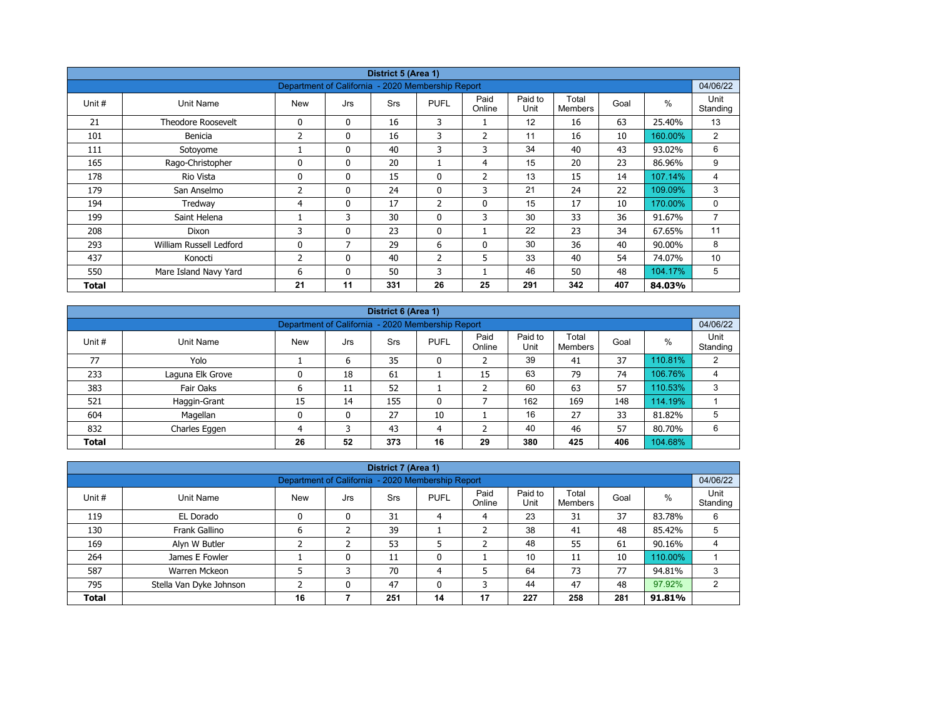| District 5 (Area 1) |                           |                                                   |              |            |                |                |                 |                         |      |         |                  |  |  |
|---------------------|---------------------------|---------------------------------------------------|--------------|------------|----------------|----------------|-----------------|-------------------------|------|---------|------------------|--|--|
|                     |                           | Department of California - 2020 Membership Report |              |            |                |                |                 |                         |      |         | 04/06/22         |  |  |
| Unit #              | Unit Name                 | <b>New</b>                                        | Jrs          | <b>Srs</b> | <b>PUFL</b>    | Paid<br>Online | Paid to<br>Unit | Total<br><b>Members</b> | Goal | $\%$    | Unit<br>Standing |  |  |
| 21                  | <b>Theodore Roosevelt</b> | 0                                                 | $\mathbf{0}$ | 16         | 3              |                | 12              | 16                      | 63   | 25.40%  | 13               |  |  |
| 101                 | Benicia                   | 2                                                 | 0            | 16         | 3              | $\overline{2}$ | 11              | 16                      | 10   | 160.00% | $\overline{2}$   |  |  |
| 111                 | Sotoyome                  |                                                   | $\mathbf{0}$ | 40         | 3              | 3              | 34              | 40                      | 43   | 93.02%  | 6                |  |  |
| 165                 | Rago-Christopher          | $\Omega$                                          | $\mathbf{0}$ | 20         |                | 4              | 15              | 20                      | 23   | 86.96%  | 9                |  |  |
| 178                 | Rio Vista                 | 0                                                 | $\mathbf{0}$ | 15         | 0              | $\overline{2}$ | 13              | 15                      | 14   | 107.14% | 4                |  |  |
| 179                 | San Anselmo               | 2                                                 | $\mathbf{0}$ | 24         | $\mathbf{0}$   | 3              | 21              | 24                      | 22   | 109.09% | 3                |  |  |
| 194                 | Tredway                   | 4                                                 | 0            | 17         | $\overline{2}$ | $\mathbf 0$    | 15              | 17                      | 10   | 170.00% | 0                |  |  |
| 199                 | Saint Helena              |                                                   | 3            | 30         | $\mathbf{0}$   | 3              | 30              | 33                      | 36   | 91.67%  | $\overline{7}$   |  |  |
| 208                 | Dixon                     | 3                                                 | 0            | 23         | $\mathbf{0}$   |                | 22              | 23                      | 34   | 67.65%  | 11               |  |  |
| 293                 | William Russell Ledford   | 0                                                 | 7            | 29         | 6              | 0              | 30              | 36                      | 40   | 90.00%  | 8                |  |  |
| 437                 | Konocti                   | 2                                                 | $\mathbf{0}$ | 40         | $\overline{2}$ | 5              | 33              | 40                      | 54   | 74.07%  | 10               |  |  |
| 550                 | Mare Island Navy Yard     | 6                                                 | $\mathbf{0}$ | 50         | 3              |                | 46              | 50                      | 48   | 104.17% | 5                |  |  |
| Total               |                           | 21                                                | 11           | 331        | 26             | 25             | 291             | 342                     | 407  | 84.03%  |                  |  |  |

| District 6 (Area 1) |                                                                                                                                                      |    |    |     |              |    |     |     |     |         |   |  |  |  |
|---------------------|------------------------------------------------------------------------------------------------------------------------------------------------------|----|----|-----|--------------|----|-----|-----|-----|---------|---|--|--|--|
|                     | Department of California - 2020 Membership Report                                                                                                    |    |    |     |              |    |     |     |     |         |   |  |  |  |
| Unit #              | Paid<br>Paid to<br>Total<br>%<br><b>PUFL</b><br>Goal<br><b>Srs</b><br>Unit Name<br><b>New</b><br>Jrs<br>Unit<br>Standing<br>Online<br><b>Members</b> |    |    |     |              |    |     |     |     |         |   |  |  |  |
| 77                  | Yolo                                                                                                                                                 |    | 6  | 35  | 0            |    | 39  | 41  | 37  | 110.81% | 2 |  |  |  |
| 233                 | Laguna Elk Grove                                                                                                                                     |    | 18 | 61  |              | 15 | 63  | 79  | 74  | 106.76% | 4 |  |  |  |
| 383                 | Fair Oaks                                                                                                                                            | ь  | 11 | 52  |              |    | 60  | 63  | 57  | 110.53% | 3 |  |  |  |
| 521                 | Haggin-Grant                                                                                                                                         | 15 | 14 | 155 | $\mathbf{0}$ |    | 162 | 169 | 148 | 114.19% |   |  |  |  |
| 604                 | Magellan                                                                                                                                             | 0  | 0  | 27  | 10           |    | 16  | 27  | 33  | 81.82%  | 5 |  |  |  |
| 832                 | Charles Eggen                                                                                                                                        | 4  | 3  | 43  | 4            |    | 40  | 46  | 57  | 80.70%  | 6 |  |  |  |
| <b>Total</b>        |                                                                                                                                                      | 26 | 52 | 373 | 16           | 29 | 380 | 425 | 406 | 104.68% |   |  |  |  |

|                                                                                                                                                            | District 7 (Area 1)                                                           |    |   |     |    |    |     |     |     |         |   |  |  |  |
|------------------------------------------------------------------------------------------------------------------------------------------------------------|-------------------------------------------------------------------------------|----|---|-----|----|----|-----|-----|-----|---------|---|--|--|--|
|                                                                                                                                                            | 04/06/22<br>Department of California - 2020 Membership Report                 |    |   |     |    |    |     |     |     |         |   |  |  |  |
| Paid to<br>Paid<br>Total<br>$\%$<br>Unit #<br><b>New</b><br>Unit Name<br><b>PUFL</b><br>Goal<br><b>Srs</b><br>Jrs<br>Online<br>Unit<br>Standing<br>Members |                                                                               |    |   |     |    |    |     |     |     |         |   |  |  |  |
| 119                                                                                                                                                        | EL Dorado                                                                     |    | 0 | 31  | 4  | 4  | 23  | 31  | 37  | 83.78%  | 6 |  |  |  |
| 130                                                                                                                                                        | Frank Gallino                                                                 | 6  |   | 39  |    |    | 38  | 41  | 48  | 85.42%  |   |  |  |  |
| 169                                                                                                                                                        | Alyn W Butler                                                                 |    |   | 53  |    |    | 48  | 55  | 61  | 90.16%  | 4 |  |  |  |
| 264                                                                                                                                                        | James E Fowler                                                                |    | 0 | 11  | 0  |    | 10  | 11  | 10  | 110.00% |   |  |  |  |
| 587                                                                                                                                                        | Warren Mckeon                                                                 |    | 3 | 70  | 4  |    | 64  | 73  | 77  | 94.81%  | 3 |  |  |  |
| 795                                                                                                                                                        | 44<br>47<br>47<br>48<br>97.92%<br>Stella Van Dyke Johnson<br>0<br>0<br>3<br>2 |    |   |     |    |    |     |     |     |         |   |  |  |  |
| <b>Total</b>                                                                                                                                               |                                                                               | 16 |   | 251 | 14 | 17 | 227 | 258 | 281 | 91.81%  |   |  |  |  |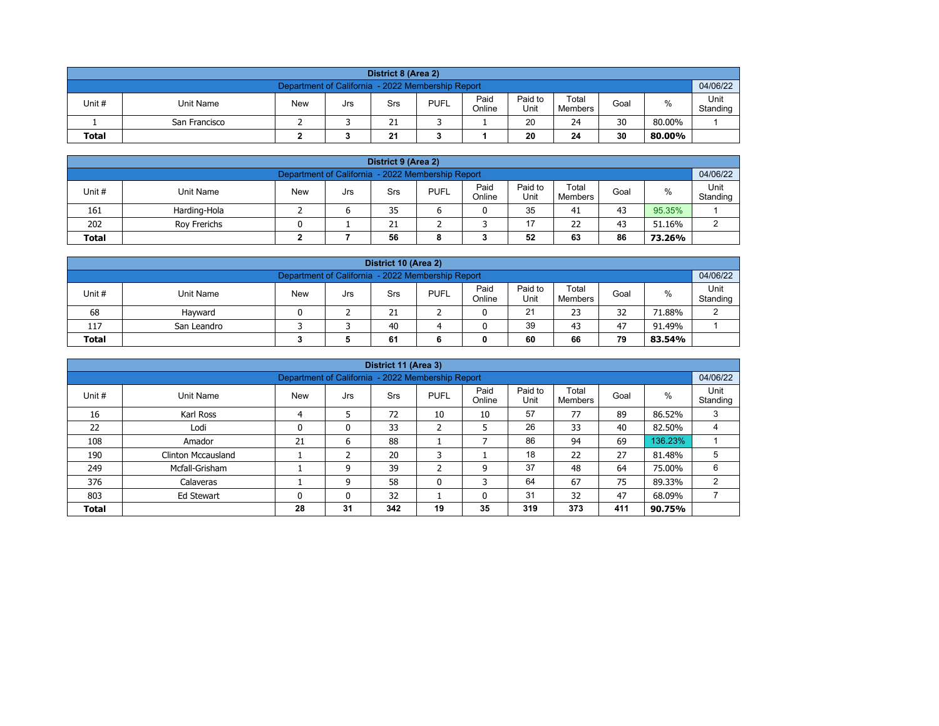| District 8 (Area 2) |                                                                                                                                                |  |  |    |  |  |    |    |    |        |  |  |  |  |
|---------------------|------------------------------------------------------------------------------------------------------------------------------------------------|--|--|----|--|--|----|----|----|--------|--|--|--|--|
|                     | 04/06/22<br>Department of California - 2022 Membership Report                                                                                  |  |  |    |  |  |    |    |    |        |  |  |  |  |
| Unit #              | Paid<br>Unit<br>Paid to<br>Total<br>%<br><b>PUFL</b><br><b>New</b><br>Unit Name<br>Goal<br>Srs<br>Jrs<br>Online<br>Unit<br>Standing<br>Members |  |  |    |  |  |    |    |    |        |  |  |  |  |
|                     | San Francisco                                                                                                                                  |  |  | 21 |  |  | 20 | 24 | 30 | 80.00% |  |  |  |  |
| <b>Total</b>        | 30<br>21<br>20<br>24<br>80.00%                                                                                                                 |  |  |    |  |  |    |    |    |        |  |  |  |  |

| District 9 (Area 2)                                                                                                                                    |              |  |  |    |  |  |    |    |    |        |   |  |  |
|--------------------------------------------------------------------------------------------------------------------------------------------------------|--------------|--|--|----|--|--|----|----|----|--------|---|--|--|
| 04/06/22<br>Department of California - 2022 Membership Report                                                                                          |              |  |  |    |  |  |    |    |    |        |   |  |  |
| Paid<br>Paid to<br>Total<br>Unit#<br><b>PUFL</b><br>%<br><b>New</b><br><b>Unit Name</b><br>Goal<br>Srs<br>Jrs<br>Standing<br>Online<br>Unit<br>Members |              |  |  |    |  |  |    |    |    |        |   |  |  |
| 161                                                                                                                                                    | Harding-Hola |  |  | 35 |  |  | 35 | 41 | 43 | 95.35% |   |  |  |
| 202                                                                                                                                                    | Rov Frerichs |  |  | 21 |  |  | 17 | 22 | 43 | 51.16% | ົ |  |  |
| 52<br>86<br>56<br>63<br><b>Total</b><br>73.26%<br>8                                                                                                    |              |  |  |    |  |  |    |    |    |        |   |  |  |

| District 10 (Area 2)                                                                                                                                |                                               |  |  |    |  |  |    |    |    |        |        |  |  |
|-----------------------------------------------------------------------------------------------------------------------------------------------------|-----------------------------------------------|--|--|----|--|--|----|----|----|--------|--------|--|--|
| 04/06/22<br>Department of California - 2022 Membership Report                                                                                       |                                               |  |  |    |  |  |    |    |    |        |        |  |  |
| Paid<br>Paid to<br>Total<br>$\%$<br>Unit #<br><b>PUFL</b><br>Unit Name<br><b>New</b><br>Goal<br>Srs<br>Jrs<br>Online<br>Standing<br>Unit<br>Members |                                               |  |  |    |  |  |    |    |    |        |        |  |  |
| 68                                                                                                                                                  | Havward                                       |  |  | 21 |  |  | 21 | 23 | 32 | 71.88% | $\sim$ |  |  |
| 117                                                                                                                                                 | 39<br>40<br>47<br>43<br>91.49%<br>San Leandro |  |  |    |  |  |    |    |    |        |        |  |  |
| 79<br><b>Total</b><br>60<br>66<br>61<br>83.54%                                                                                                      |                                               |  |  |    |  |  |    |    |    |        |        |  |  |

|                                                                    |                           |                                                   |     | District 11 (Area 3) |                   |                |                 |                  |      |         |                  |
|--------------------------------------------------------------------|---------------------------|---------------------------------------------------|-----|----------------------|-------------------|----------------|-----------------|------------------|------|---------|------------------|
|                                                                    |                           | Department of California - 2022 Membership Report |     |                      |                   |                |                 |                  |      |         | 04/06/22         |
| Unit #                                                             | Unit Name                 | <b>New</b>                                        | Jrs | Srs                  | <b>PUFL</b>       | Paid<br>Online | Paid to<br>Unit | Total<br>Members | Goal | $\%$    | Unit<br>Standing |
| 16                                                                 | Karl Ross                 |                                                   | 5   | 72                   | 10                | 10             | 57              | 77               | 89   | 86.52%  | 3                |
| 22                                                                 | Lodi                      | 0                                                 | 0   | 33                   | h<br>$\epsilon$   | 5              | 26              | 33               | 40   | 82.50%  |                  |
| 108                                                                | Amador                    | 21                                                | 6   | 88                   |                   |                | 86              | 94               | 69   | 136.23% |                  |
| 190                                                                | <b>Clinton Mccausland</b> |                                                   |     | 20                   | 3                 |                | 18              | 22               | 27   | 81.48%  | 5                |
| 249                                                                | Mcfall-Grisham            |                                                   | 9   | 39                   | <sup>-</sup><br>∠ | 9              | 37              | 48               | 64   | 75.00%  | 6                |
| 376                                                                | Calaveras                 |                                                   | 9   | 58                   | 0                 | 3              | 64              | 67               | 75   | 89.33%  | 2                |
| 31<br>47<br>803<br>32<br>32<br>68.09%<br>0<br>0<br>0<br>Ed Stewart |                           |                                                   |     |                      |                   |                |                 |                  |      |         |                  |
| <b>Total</b>                                                       |                           | 28                                                | 31  | 342                  | 19                | 35             | 319             | 373              | 411  | 90.75%  |                  |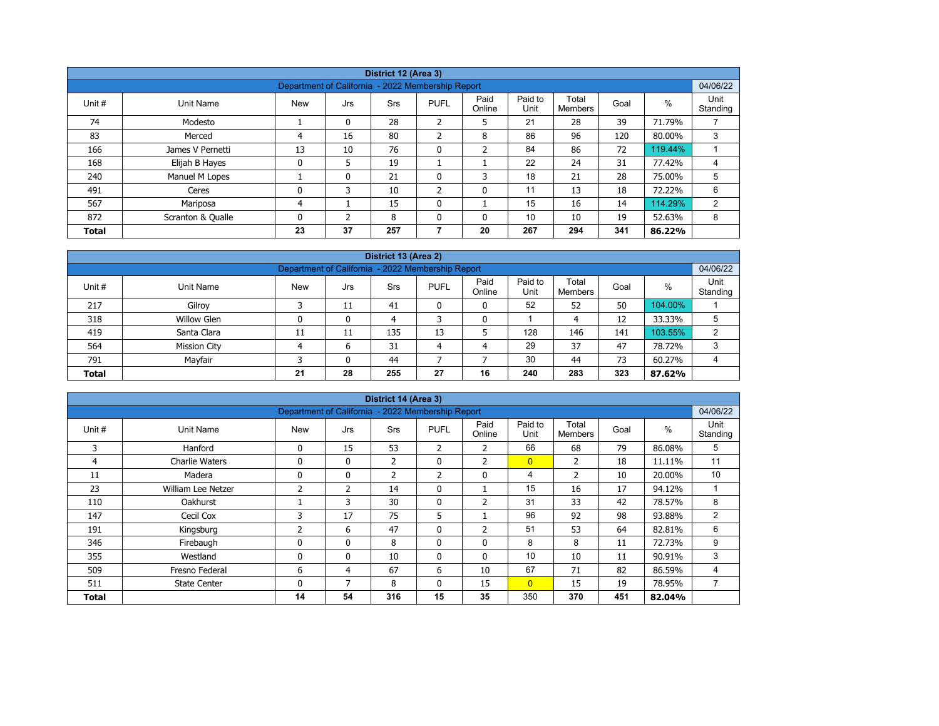|              |                   |                                                   |          | District 12 (Area 3) |                |                |                 |                  |      |         |                  |  |  |
|--------------|-------------------|---------------------------------------------------|----------|----------------------|----------------|----------------|-----------------|------------------|------|---------|------------------|--|--|
|              |                   | Department of California - 2022 Membership Report |          |                      |                |                |                 |                  |      |         | 04/06/22         |  |  |
| Unit #       | Unit Name         | <b>New</b>                                        | Jrs      | <b>Srs</b>           | <b>PUFL</b>    | Paid<br>Online | Paid to<br>Unit | Total<br>Members | Goal | %       | Unit<br>Standing |  |  |
| 74           | Modesto           |                                                   | $\Omega$ | 28                   | ำ<br>∠         | 5              | 21              | 28               | 39   | 71.79%  |                  |  |  |
| 83           | Merced            | 4                                                 | 16       | 80                   | $\overline{2}$ | 8              | 86              | 96               | 120  | 80.00%  | 3                |  |  |
| 166          | James V Pernetti  | 13                                                | 10       | 76                   | $\mathbf 0$    | $\overline{2}$ | 84              | 86               | 72   | 119.44% |                  |  |  |
| 168          | Elijah B Hayes    | 0                                                 | 5        | 19                   |                |                | 22              | 24               | 31   | 77.42%  | 4                |  |  |
| 240          | Manuel M Lopes    |                                                   | 0        | 21                   | 0              | 3              | 18              | 21               | 28   | 75.00%  | 5                |  |  |
| 491          | Ceres             | 0                                                 | 3        | 10                   | $\overline{2}$ | 0              | 11              | 13               | 18   | 72.22%  | 6                |  |  |
| 567          | Mariposa          | 4                                                 |          | 15                   | $\mathbf{0}$   |                | 15              | 16               | 14   | 114.29% | 2                |  |  |
| 872          | Scranton & Qualle | 0                                                 | C.       | 8                    | $\mathbf{0}$   | 0              | 10              | 10               | 19   | 52.63%  | 8                |  |  |
| <b>Total</b> |                   | 23                                                | 37       | 257                  |                | 20             | 267             | 294              | 341  | 86.22%  |                  |  |  |

| District 13 (Area 2)                                                  |                                                                                                                                           |    |    |     |    |    |     |     |     |         |   |  |  |  |  |
|-----------------------------------------------------------------------|-------------------------------------------------------------------------------------------------------------------------------------------|----|----|-----|----|----|-----|-----|-----|---------|---|--|--|--|--|
|                                                                       | 04/06/22<br>Department of California - 2022 Membership Report                                                                             |    |    |     |    |    |     |     |     |         |   |  |  |  |  |
| Unit#                                                                 | Paid<br>Paid to<br>Total<br>$\%$<br><b>New</b><br><b>PUFL</b><br>Unit Name<br>Goal<br>Srs<br>Jrs<br>Standing<br>Online<br>Unit<br>Members |    |    |     |    |    |     |     |     |         |   |  |  |  |  |
| 217                                                                   | Gilroy                                                                                                                                    |    | 11 | 41  |    | 0  | 52  | 52  | 50  | 104.00% |   |  |  |  |  |
| 318                                                                   | <b>Willow Glen</b>                                                                                                                        |    | 0  | 4   |    | 0  |     | 4   | 12  | 33.33%  | 5 |  |  |  |  |
| 419                                                                   | Santa Clara                                                                                                                               | 11 | 11 | 135 | 13 |    | 128 | 146 | 141 | 103.55% | 2 |  |  |  |  |
| 564                                                                   | <b>Mission City</b>                                                                                                                       |    | 6  | 31  | 4  | 4  | 29  | 37  | 47  | 78.72%  | 3 |  |  |  |  |
| Mayfair<br>30<br>73<br>791<br>44<br>44<br>60.27%<br>$\mathbf{0}$<br>4 |                                                                                                                                           |    |    |     |    |    |     |     |     |         |   |  |  |  |  |
| <b>Total</b>                                                          |                                                                                                                                           | 21 | 28 | 255 | 27 | 16 | 240 | 283 | 323 | 87.62%  |   |  |  |  |  |

| District 14 (Area 3)<br>Department of California - 2022 Membership Report |                       |             |              |                |              |                |                 |                         |      |        |                  |  |  |
|---------------------------------------------------------------------------|-----------------------|-------------|--------------|----------------|--------------|----------------|-----------------|-------------------------|------|--------|------------------|--|--|
|                                                                           |                       |             |              |                |              |                |                 |                         |      |        | 04/06/22         |  |  |
| Unit #                                                                    | Unit Name             | <b>New</b>  | Jrs          | Srs            | <b>PUFL</b>  | Paid<br>Online | Paid to<br>Unit | Total<br><b>Members</b> | Goal | %      | Unit<br>Standing |  |  |
| 3                                                                         | Hanford               | 0           | 15           | 53             | 2            | 2              | 66              | 68                      | 79   | 86.08% | 5                |  |  |
| 4                                                                         | <b>Charlie Waters</b> | 0           | $\mathbf{0}$ | $\overline{2}$ | $\mathbf{0}$ | $\overline{2}$ | $\overline{0}$  | 2                       | 18   | 11.11% | 11               |  |  |
| 11                                                                        | Madera                | 0           | 0            | $\overline{2}$ | 2            | 0              | 4               | $\overline{2}$          | 10   | 20.00% | 10               |  |  |
| 23                                                                        | William Lee Netzer    | 2           | 2            | 14             | $\mathbf{0}$ |                | 15              | 16                      | 17   | 94.12% |                  |  |  |
| 110                                                                       | <b>Oakhurst</b>       |             | 3            | 30             | 0            | $\overline{2}$ | 31              | 33                      | 42   | 78.57% | 8                |  |  |
| 147                                                                       | Cecil Cox             | 3           | 17           | 75             | 5            |                | 96              | 92                      | 98   | 93.88% | 2                |  |  |
| 191                                                                       | Kingsburg             | 2           | 6            | 47             | $\mathbf{0}$ | $\overline{2}$ | 51              | 53                      | 64   | 82.81% | 6                |  |  |
| 346                                                                       | Firebaugh             | 0           | $\mathbf{0}$ | 8              | 0            | 0              | 8               | 8                       | 11   | 72.73% | 9                |  |  |
| 355                                                                       | Westland              | $\mathbf 0$ | $\mathbf{0}$ | 10             | $\mathbf{0}$ | $\mathbf{0}$   | 10              | 10                      | 11   | 90.91% | 3                |  |  |
| 509                                                                       | Fresno Federal        | 6           | 4            | 67             | 6            | 10             | 67              | 71                      | 82   | 86.59% | 4                |  |  |
| 511                                                                       | <b>State Center</b>   | 0           | 7            | 8              | $\mathbf{0}$ | 15             | $\overline{0}$  | 15                      | 19   | 78.95% | 7                |  |  |
| Total                                                                     |                       | 14          | 54           | 316            | 15           | 35             | 350             | 370                     | 451  | 82.04% |                  |  |  |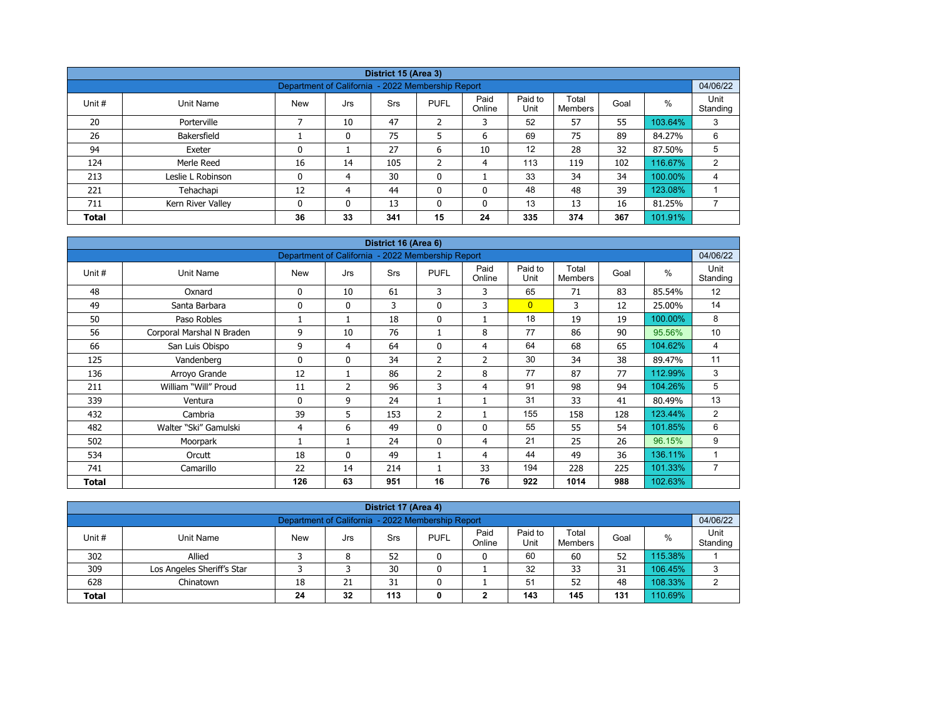| District 15 (Area 3)                                                                  |                                                                                                                                           |                                                   |    |     |         |              |     |     |     |         |          |  |  |  |  |
|---------------------------------------------------------------------------------------|-------------------------------------------------------------------------------------------------------------------------------------------|---------------------------------------------------|----|-----|---------|--------------|-----|-----|-----|---------|----------|--|--|--|--|
|                                                                                       |                                                                                                                                           | Department of California - 2022 Membership Report |    |     |         |              |     |     |     |         | 04/06/22 |  |  |  |  |
| Unit #                                                                                | Paid<br>Paid to<br>Total<br>$\%$<br><b>PUFL</b><br>Unit Name<br><b>New</b><br>Srs<br>Goal<br>Jrs<br>Unit<br>Standing<br>Online<br>Members |                                                   |    |     |         |              |     |     |     |         |          |  |  |  |  |
| 20                                                                                    | Porterville                                                                                                                               |                                                   | 10 | 47  | 2       | 3            | 52  | 57  | 55  | 103.64% | 3        |  |  |  |  |
| 26                                                                                    | Bakersfield                                                                                                                               |                                                   | 0  | 75  | 5       | 6            | 69  | 75  | 89  | 84.27%  | 6        |  |  |  |  |
| 94                                                                                    | Exeter                                                                                                                                    | 0                                                 |    | 27  | 6       | 10           | 12  | 28  | 32  | 87.50%  | 5        |  |  |  |  |
| 124                                                                                   | Merle Reed                                                                                                                                | 16                                                | 14 | 105 | C.<br>∠ | 4            | 113 | 119 | 102 | 116.67% | 2        |  |  |  |  |
| 213                                                                                   | Leslie L Robinson                                                                                                                         | 0                                                 | 4  | 30  | 0       |              | 33  | 34  | 34  | 100.00% | 4        |  |  |  |  |
| 221                                                                                   | Tehachapi                                                                                                                                 | 12                                                | 4  | 44  | 0       | $\mathbf{0}$ | 48  | 48  | 39  | 123.08% |          |  |  |  |  |
| 13<br>13<br>13<br>16<br>81.25%<br>711<br>Kern River Valley<br>$\Omega$<br>0<br>0<br>0 |                                                                                                                                           |                                                   |    |     |         |              |     |     |     |         |          |  |  |  |  |
| <b>Total</b>                                                                          |                                                                                                                                           | 36                                                | 33 | 341 | 15      | 24           | 335 | 374 | 367 | 101.91% |          |  |  |  |  |

| District 16 (Area 6) |                           |                                                   |                |            |                |                |                 |                         |      |         |                  |  |  |
|----------------------|---------------------------|---------------------------------------------------|----------------|------------|----------------|----------------|-----------------|-------------------------|------|---------|------------------|--|--|
|                      |                           | Department of California - 2022 Membership Report |                |            |                |                |                 |                         |      |         | 04/06/22         |  |  |
| Unit #               | <b>Unit Name</b>          | <b>New</b>                                        | Jrs            | <b>Srs</b> | <b>PUFL</b>    | Paid<br>Online | Paid to<br>Unit | Total<br><b>Members</b> | Goal | %       | Unit<br>Standing |  |  |
| 48                   | Oxnard                    | 0                                                 | 10             | 61         | 3              | 3              | 65              | 71                      | 83   | 85.54%  | 12               |  |  |
| 49                   | Santa Barbara             | $\Omega$                                          | $\mathbf{0}$   | 3          | $\mathbf{0}$   | 3              | $\overline{0}$  | 3                       | 12   | 25.00%  | 14               |  |  |
| 50                   | Paso Robles               |                                                   |                | 18         | 0              | 1              | 18              | 19                      | 19   | 100.00% | 8                |  |  |
| 56                   | Corporal Marshal N Braden | 9                                                 | 10             | 76         | 1              | 8              | 77              | 86                      | 90   | 95.56%  | 10               |  |  |
| 66                   | San Luis Obispo           | 9                                                 | 4              | 64         | $\mathbf{0}$   | $\overline{4}$ | 64              | 68                      | 65   | 104.62% | 4                |  |  |
| 125                  | Vandenberg                | $\Omega$                                          | $\mathbf{0}$   | 34         | $\overline{2}$ | $\overline{2}$ | 30              | 34                      | 38   | 89.47%  | 11               |  |  |
| 136                  | Arroyo Grande             | 12                                                | 1              | 86         | $\overline{2}$ | 8              | 77              | 87                      | 77   | 112.99% | 3                |  |  |
| 211                  | William "Will" Proud      | 11                                                | $\overline{2}$ | 96         | 3              | 4              | 91              | 98                      | 94   | 104.26% | 5                |  |  |
| 339                  | Ventura                   | $\mathbf{0}$                                      | 9              | 24         |                | 1              | 31              | 33                      | 41   | 80.49%  | 13               |  |  |
| 432                  | Cambria                   | 39                                                | 5              | 153        | $\overline{2}$ | 1              | 155             | 158                     | 128  | 123.44% | 2                |  |  |
| 482                  | Walter "Ski" Gamulski     | 4                                                 | 6              | 49         | $\mathbf{0}$   | 0              | 55              | 55                      | 54   | 101.85% | 6                |  |  |
| 502                  | Moorpark                  |                                                   |                | 24         | $\mathbf{0}$   | 4              | 21              | 25                      | 26   | 96.15%  | 9                |  |  |
| 534                  | Orcutt                    | 18                                                | $\mathbf{0}$   | 49         |                | 4              | 44              | 49                      | 36   | 136.11% | 1                |  |  |
| 741                  | Camarillo                 | 22                                                | 14             | 214        |                | 33             | 194             | 228                     | 225  | 101.33% | $\overline{7}$   |  |  |
| <b>Total</b>         |                           | 126                                               | 63             | 951        | 16             | 76             | 922             | 1014                    | 988  | 102.63% |                  |  |  |

| District 17 (Area 4)                                                                                                                            |                                                               |    |    |    |   |   |    |    |    |         |   |  |  |  |
|-------------------------------------------------------------------------------------------------------------------------------------------------|---------------------------------------------------------------|----|----|----|---|---|----|----|----|---------|---|--|--|--|
|                                                                                                                                                 | Department of California - 2022 Membership Report<br>04/06/22 |    |    |    |   |   |    |    |    |         |   |  |  |  |
| Paid to<br>Paid<br>Total<br>Unit#<br><b>PUFL</b><br>%<br><b>New</b><br>Goal<br>Unit Name<br>Srs<br>Jrs<br>Online<br>Standing<br>Unit<br>Members |                                                               |    |    |    |   |   |    |    |    |         |   |  |  |  |
| 302                                                                                                                                             | Allied                                                        |    | 8  | 52 |   | 0 | 60 | 60 | 52 | 115.38% |   |  |  |  |
| 309                                                                                                                                             | Los Angeles Sheriff's Star                                    |    |    | 30 | 0 |   | 32 | 33 | 31 | 106.45% | 3 |  |  |  |
| 628                                                                                                                                             | Chinatown                                                     | 18 | 21 | 31 |   |   | 51 | 52 | 48 | 108.33% | ີ |  |  |  |
| 131<br>10.69%<br>113<br>143<br>24<br>32<br>145<br><b>Total</b><br>0<br>◠                                                                        |                                                               |    |    |    |   |   |    |    |    |         |   |  |  |  |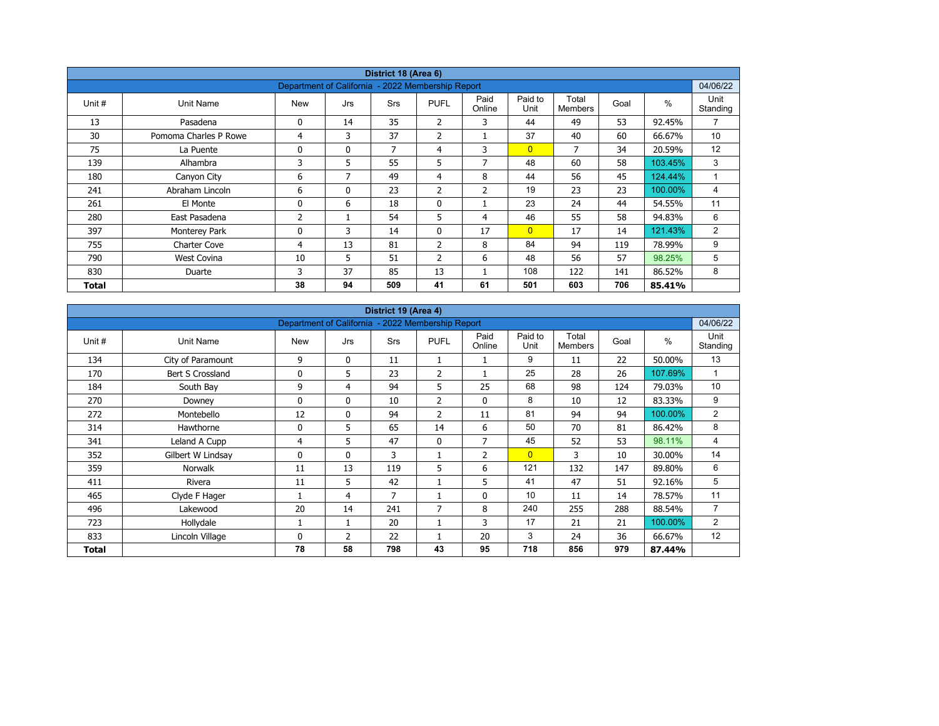|        |                       |                                                   |              | District 18 (Area 6) |                |                |                 |                  |      |         |                  |
|--------|-----------------------|---------------------------------------------------|--------------|----------------------|----------------|----------------|-----------------|------------------|------|---------|------------------|
|        |                       | Department of California - 2022 Membership Report |              |                      |                |                |                 |                  |      |         | 04/06/22         |
| Unit # | Unit Name             | <b>New</b>                                        | Jrs          | <b>Srs</b>           | <b>PUFL</b>    | Paid<br>Online | Paid to<br>Unit | Total<br>Members | Goal | $\%$    | Unit<br>Standing |
| 13     | Pasadena              | 0                                                 | 14           | 35                   | $\overline{2}$ | 3              | 44              | 49               | 53   | 92.45%  | $\overline{7}$   |
| 30     | Pomoma Charles P Rowe | 4                                                 | 3            | 37                   | $\overline{2}$ |                | 37              | 40               | 60   | 66.67%  | 10               |
| 75     | La Puente             | 0                                                 | $\mathbf{0}$ | 7                    | 4              | 3              | $\overline{0}$  | 7                | 34   | 20.59%  | 12               |
| 139    | Alhambra              | 3                                                 | 5            | 55                   | 5              | 7              | 48              | 60               | 58   | 103.45% | 3                |
| 180    | Canyon City           | 6                                                 | 7            | 49                   | 4              | 8              | 44              | 56               | 45   | 124.44% | $\overline{A}$   |
| 241    | Abraham Lincoln       | 6                                                 | $\mathbf{0}$ | 23                   | 2              | $\overline{2}$ | 19              | 23               | 23   | 100.00% | 4                |
| 261    | El Monte              | 0                                                 | 6            | 18                   | $\mathbf 0$    |                | 23              | 24               | 44   | 54.55%  | 11               |
| 280    | East Pasadena         | $\overline{2}$                                    |              | 54                   | 5              | 4              | 46              | 55               | 58   | 94.83%  | 6                |
| 397    | Monterey Park         | 0                                                 | 3            | 14                   | $\mathbf{0}$   | 17             | $\overline{0}$  | 17               | 14   | 121.43% | $\overline{2}$   |
| 755    | <b>Charter Cove</b>   | 4                                                 | 13           | 81                   | $\overline{2}$ | 8              | 84              | 94               | 119  | 78.99%  | 9                |
| 790    | <b>West Covina</b>    | 10                                                | 5            | 51                   | $\overline{2}$ | 6              | 48              | 56               | 57   | 98.25%  | 5                |
| 830    | Duarte                | 3                                                 | 37           | 85                   | 13             |                | 108             | 122              | 141  | 86.52%  | 8                |
| Total  |                       | 38                                                | 94           | 509                  | 41             | 61             | 501             | 603              | 706  | 85.41%  |                  |

| District 19 (Area 4) |                   |                                                   |                |     |                |                |                 |                         |      |         |                  |  |  |
|----------------------|-------------------|---------------------------------------------------|----------------|-----|----------------|----------------|-----------------|-------------------------|------|---------|------------------|--|--|
|                      |                   | Department of California - 2022 Membership Report |                |     |                |                |                 |                         |      |         | 04/06/22         |  |  |
| Unit #               | Unit Name         | <b>New</b>                                        | Jrs            | Srs | <b>PUFL</b>    | Paid<br>Online | Paid to<br>Unit | Total<br><b>Members</b> | Goal | $\%$    | Unit<br>Standing |  |  |
| 134                  | City of Paramount | 9                                                 | 0              | 11  |                |                | 9               | 11                      | 22   | 50.00%  | 13               |  |  |
| 170                  | Bert S Crossland  | $\Omega$                                          | 5              | 23  | $\overline{2}$ |                | 25              | 28                      | 26   | 107.69% | $\mathbf{1}$     |  |  |
| 184                  | South Bay         | 9                                                 | 4              | 94  | 5              | 25             | 68              | 98                      | 124  | 79.03%  | 10               |  |  |
| 270                  | Downey            | 0                                                 | $\mathbf{0}$   | 10  | $\overline{2}$ | $\Omega$       | 8               | 10                      | 12   | 83.33%  | 9                |  |  |
| 272                  | Montebello        | 12                                                | $\mathbf{0}$   | 94  | $\overline{2}$ | 11             | 81              | 94                      | 94   | 100.00% | $\overline{2}$   |  |  |
| 314                  | Hawthorne         | 0                                                 | 5              | 65  | 14             | 6              | 50              | 70                      | 81   | 86.42%  | 8                |  |  |
| 341                  | Leland A Cupp     | 4                                                 | 5              | 47  | $\mathbf{0}$   | 7              | 45              | 52                      | 53   | 98.11%  | 4                |  |  |
| 352                  | Gilbert W Lindsay | 0                                                 | $\mathbf{0}$   | 3   | 1              | $\overline{2}$ | $\overline{0}$  | 3                       | 10   | 30.00%  | 14               |  |  |
| 359                  | Norwalk           | 11                                                | 13             | 119 | 5              | 6              | 121             | 132                     | 147  | 89.80%  | 6                |  |  |
| 411                  | Rivera            | 11                                                | 5              | 42  |                | 5              | 41              | 47                      | 51   | 92.16%  | 5                |  |  |
| 465                  | Clyde F Hager     |                                                   | 4              | 7   | $\mathbf{1}$   | 0              | 10              | 11                      | 14   | 78.57%  | 11               |  |  |
| 496                  | Lakewood          | 20                                                | 14             | 241 | 7              | 8              | 240             | 255                     | 288  | 88.54%  | $\overline{7}$   |  |  |
| 723                  | Hollydale         |                                                   |                | 20  | $\mathbf{1}$   | 3              | 17              | 21                      | 21   | 100.00% | $\overline{2}$   |  |  |
| 833                  | Lincoln Village   | $\Omega$                                          | $\overline{2}$ | 22  |                | 20             | 3               | 24                      | 36   | 66.67%  | 12               |  |  |
| Total                |                   | 78                                                | 58             | 798 | 43             | 95             | 718             | 856                     | 979  | 87.44%  |                  |  |  |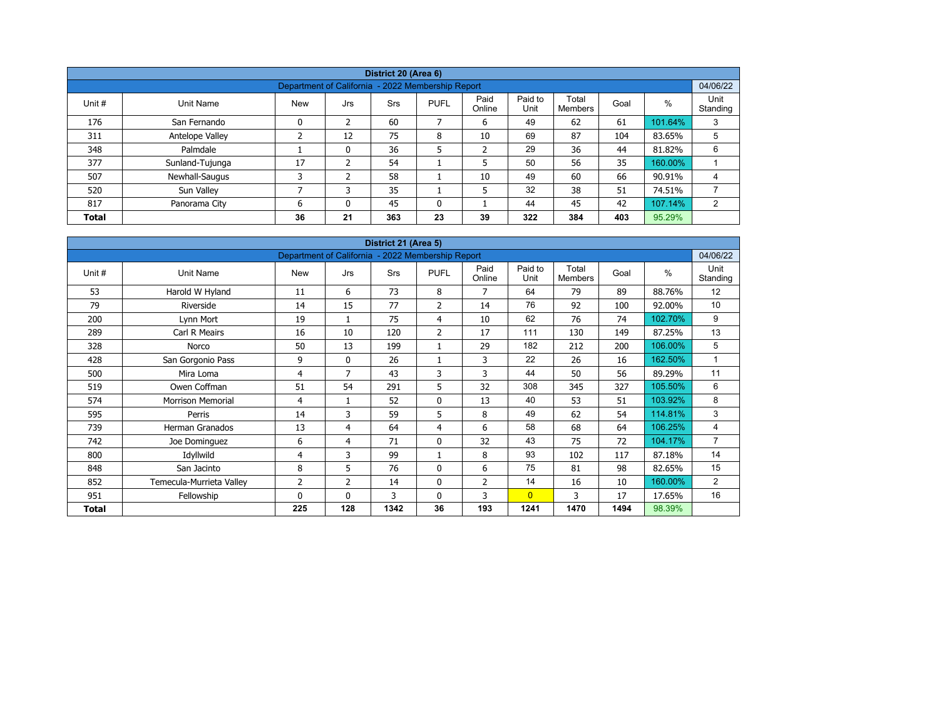|              |                                                               |            |     | District 20 (Area 6) |              |                |                 |                  |      |         |                  |  |  |  |  |
|--------------|---------------------------------------------------------------|------------|-----|----------------------|--------------|----------------|-----------------|------------------|------|---------|------------------|--|--|--|--|
|              | 04/06/22<br>Department of California - 2022 Membership Report |            |     |                      |              |                |                 |                  |      |         |                  |  |  |  |  |
| Unit #       | Unit Name                                                     | <b>New</b> | Jrs | <b>Srs</b>           | <b>PUFL</b>  | Paid<br>Online | Paid to<br>Unit | Total<br>Members | Goal | %       | Unit<br>Standing |  |  |  |  |
| 176          | San Fernando                                                  | 0          | 2   | 60                   | 7            | 6              | 49              | 62               | 61   | 101.64% | 3                |  |  |  |  |
| 311          | Antelope Valley                                               | ∍          | 12  | 75                   | 8            | 10             | 69              | 87               | 104  | 83.65%  | 5                |  |  |  |  |
| 348          | Palmdale                                                      |            | 0   | 36                   | 5            | $\overline{2}$ | 29              | 36               | 44   | 81.82%  | 6                |  |  |  |  |
| 377          | Sunland-Tujunga                                               | 17         | ຳ   | 54                   |              | 5              | 50              | 56               | 35   | 160.00% |                  |  |  |  |  |
| 507          | Newhall-Saugus                                                | 3          | 2   | 58                   |              | 10             | 49              | 60               | 66   | 90.91%  | 4                |  |  |  |  |
| 520          | Sun Valley                                                    | ⇁          |     | 35                   |              | 5              | 32              | 38               | 51   | 74.51%  |                  |  |  |  |  |
| 817          | Panorama City                                                 | 6          | 0   | 45                   | $\mathbf{0}$ |                | 44              | 45               | 42   | 107.14% | $\overline{2}$   |  |  |  |  |
| <b>Total</b> |                                                               | 36         | 21  | 363                  | 23           | 39             | 322             | 384              | 403  | 95.29%  |                  |  |  |  |  |

| District 21 (Area 5) |                          |                                                   |                |            |                |                |                 |                         |      |         |                  |  |  |
|----------------------|--------------------------|---------------------------------------------------|----------------|------------|----------------|----------------|-----------------|-------------------------|------|---------|------------------|--|--|
|                      |                          | Department of California - 2022 Membership Report |                |            |                |                |                 |                         |      |         | 04/06/22         |  |  |
| Unit #               | Unit Name                | <b>New</b>                                        | Jrs            | <b>Srs</b> | <b>PUFL</b>    | Paid<br>Online | Paid to<br>Unit | Total<br><b>Members</b> | Goal | $\%$    | Unit<br>Standing |  |  |
| 53                   | Harold W Hyland          | 11                                                | 6              | 73         | 8              | $\overline{7}$ | 64              | 79                      | 89   | 88.76%  | 12               |  |  |
| 79                   | Riverside                | 14                                                | 15             | 77         | $\overline{2}$ | 14             | 76              | 92                      | 100  | 92.00%  | 10               |  |  |
| 200                  | Lynn Mort                | 19                                                | 1              | 75         | 4              | 10             | 62              | 76                      | 74   | 102.70% | 9                |  |  |
| 289                  | Carl R Meairs            | 16                                                | 10             | 120        | $\overline{2}$ | 17             | 111             | 130                     | 149  | 87.25%  | 13               |  |  |
| 328                  | Norco                    | 50                                                | 13             | 199        | 1              | 29             | 182             | 212                     | 200  | 106.00% | 5                |  |  |
| 428                  | San Gorgonio Pass        | 9                                                 | $\mathbf{0}$   | 26         |                | 3              | 22              | 26                      | 16   | 162.50% | $\mathbf{1}$     |  |  |
| 500                  | Mira Loma                | 4                                                 | 7              | 43         | 3              | 3              | 44              | 50                      | 56   | 89.29%  | 11               |  |  |
| 519                  | Owen Coffman             | 51                                                | 54             | 291        | 5              | 32             | 308             | 345                     | 327  | 105.50% | 6                |  |  |
| 574                  | <b>Morrison Memorial</b> | 4                                                 | $\mathbf{1}$   | 52         | 0              | 13             | 40              | 53                      | 51   | 103.92% | 8                |  |  |
| 595                  | Perris                   | 14                                                | 3              | 59         | 5              | 8              | 49              | 62                      | 54   | 114.81% | 3                |  |  |
| 739                  | Herman Granados          | 13                                                | 4              | 64         | 4              | 6              | 58              | 68                      | 64   | 106.25% | 4                |  |  |
| 742                  | Joe Dominguez            | 6                                                 | 4              | 71         | $\mathbf 0$    | 32             | 43              | 75                      | 72   | 104.17% | $\overline{7}$   |  |  |
| 800                  | Idyllwild                | 4                                                 | 3              | 99         | 1              | 8              | 93              | 102                     | 117  | 87.18%  | 14               |  |  |
| 848                  | San Jacinto              | 8                                                 | 5              | 76         | 0              | 6              | 75              | 81                      | 98   | 82.65%  | 15               |  |  |
| 852                  | Temecula-Murrieta Valley | $\overline{2}$                                    | $\overline{2}$ | 14         | 0              | $\overline{2}$ | 14              | 16                      | 10   | 160.00% | $\overline{2}$   |  |  |
| 951                  | Fellowship               | 0                                                 | $\mathbf{0}$   | 3          | $\mathbf{0}$   | 3              | $\overline{0}$  | 3                       | 17   | 17.65%  | 16               |  |  |
| <b>Total</b>         |                          | 225                                               | 128            | 1342       | 36             | 193            | 1241            | 1470                    | 1494 | 98.39%  |                  |  |  |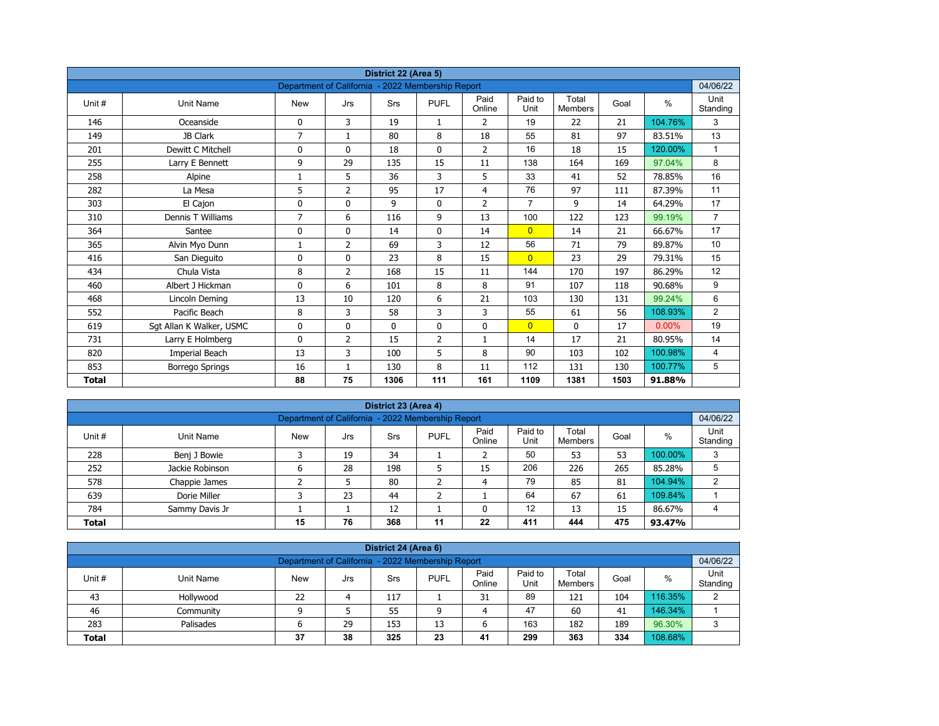| District 22 (Area 5) |                          |                                                   |                |             |                |                |                 |                         |      |         |                  |  |  |
|----------------------|--------------------------|---------------------------------------------------|----------------|-------------|----------------|----------------|-----------------|-------------------------|------|---------|------------------|--|--|
|                      |                          | Department of California - 2022 Membership Report |                |             |                |                |                 |                         |      |         | 04/06/22         |  |  |
| Unit#                | <b>Unit Name</b>         | <b>New</b>                                        | Jrs            | Srs         | <b>PUFL</b>    | Paid<br>Online | Paid to<br>Unit | Total<br><b>Members</b> | Goal | $\%$    | Unit<br>Standing |  |  |
| 146                  | Oceanside                | 0                                                 | 3              | 19          | $\mathbf{1}$   | 2              | 19              | 22                      | 21   | 104.76% | 3                |  |  |
| 149                  | JB Clark                 | $\overline{7}$                                    | $\mathbf{1}$   | 80          | 8              | 18             | 55              | 81                      | 97   | 83.51%  | 13               |  |  |
| 201                  | Dewitt C Mitchell        | 0                                                 | $\mathbf{0}$   | 18          | $\mathbf{0}$   | $\overline{2}$ | 16              | 18                      | 15   | 120.00% | $\mathbf{1}$     |  |  |
| 255                  | Larry E Bennett          | 9                                                 | 29             | 135         | 15             | 11             | 138             | 164                     | 169  | 97.04%  | 8                |  |  |
| 258                  | Alpine                   | 1                                                 | 5              | 36          | 3              | 5              | 33              | 41                      | 52   | 78.85%  | 16               |  |  |
| 282                  | La Mesa                  | 5                                                 | $\overline{2}$ | 95          | 17             | $\overline{4}$ | 76              | 97                      | 111  | 87.39%  | 11               |  |  |
| 303                  | El Cajon                 | 0                                                 | 0              | 9           | $\mathbf 0$    | $\overline{2}$ | $\overline{7}$  | 9                       | 14   | 64.29%  | 17               |  |  |
| 310                  | Dennis T Williams        | 7                                                 | 6              | 116         | 9              | 13             | 100             | 122                     | 123  | 99.19%  | $\overline{7}$   |  |  |
| 364                  | Santee                   | 0                                                 | 0              | 14          | 0              | 14             | $\overline{0}$  | 14                      | 21   | 66.67%  | 17               |  |  |
| 365                  | Alvin Myo Dunn           | 1                                                 | $\overline{2}$ | 69          | 3              | 12             | 56              | 71                      | 79   | 89.87%  | 10               |  |  |
| 416                  | San Dieguito             | 0                                                 | $\Omega$       | 23          | 8              | 15             | $\overline{0}$  | 23                      | 29   | 79.31%  | 15               |  |  |
| 434                  | Chula Vista              | 8                                                 | $\overline{2}$ | 168         | 15             | 11             | 144             | 170                     | 197  | 86.29%  | 12               |  |  |
| 460                  | Albert J Hickman         | 0                                                 | 6              | 101         | 8              | 8              | 91              | 107                     | 118  | 90.68%  | 9                |  |  |
| 468                  | Lincoln Deming           | 13                                                | 10             | 120         | 6              | 21             | 103             | 130                     | 131  | 99.24%  | 6                |  |  |
| 552                  | Pacific Beach            | 8                                                 | 3              | 58          | 3              | 3              | 55              | 61                      | 56   | 108.93% | $\overline{2}$   |  |  |
| 619                  | Sgt Allan K Walker, USMC | 0                                                 | 0              | $\mathbf 0$ | $\mathbf 0$    | 0              | $\overline{0}$  | 0                       | 17   | 0.00%   | 19               |  |  |
| 731                  | Larry E Holmberg         | 0                                                 | 2              | 15          | $\overline{2}$ | $\mathbf{1}$   | 14              | 17                      | 21   | 80.95%  | 14               |  |  |
| 820                  | Imperial Beach           | 13                                                | 3              | 100         | 5              | 8              | 90              | 103                     | 102  | 100.98% | 4                |  |  |
| 853                  | <b>Borrego Springs</b>   | 16                                                | $\mathbf{1}$   | 130         | 8              | 11             | 112             | 131                     | 130  | 100.77% | 5                |  |  |
| <b>Total</b>         |                          | 88                                                | 75             | 1306        | 111            | 161            | 1109            | 1381                    | 1503 | 91.88%  |                  |  |  |

| District 23 (Area 4)                                                                                                                                   |                 |   |    |     |   |    |     |     |     |         |   |  |  |
|--------------------------------------------------------------------------------------------------------------------------------------------------------|-----------------|---|----|-----|---|----|-----|-----|-----|---------|---|--|--|
| Department of California - 2022 Membership Report                                                                                                      |                 |   |    |     |   |    |     |     |     |         |   |  |  |
| Paid<br>Paid to<br>Total<br><b>PUFL</b><br>%<br>Unit#<br>Goal<br>Unit Name<br><b>New</b><br>Srs<br>Jrs<br>Unit<br>Standing<br>Online<br><b>Members</b> |                 |   |    |     |   |    |     |     |     |         |   |  |  |
| 228                                                                                                                                                    | Benj J Bowie    |   | 19 | 34  |   |    | 50  | 53  | 53  | 100.00% | 3 |  |  |
| 252                                                                                                                                                    | Jackie Robinson | 6 | 28 | 198 | כ | 15 | 206 | 226 | 265 | 85.28%  | 5 |  |  |
| 578                                                                                                                                                    | Chappie James   |   |    | 80  | ∍ | 4  | 79  | 85  | 81  | 104.94% | 2 |  |  |
| 639                                                                                                                                                    | Dorie Miller    |   | 23 | 44  | ╮ |    | 64  | 67  | 61  | 109.84% |   |  |  |
| 12<br>12<br>13<br>86.67%<br>784<br>15<br>Sammy Davis Jr                                                                                                |                 |   |    |     |   |    |     |     |     |         |   |  |  |
| 76<br>475<br>368<br>22<br>411<br>15<br>11<br>444<br><b>Total</b><br>93.47%                                                                             |                 |   |    |     |   |    |     |     |     |         |   |  |  |

| District 24 (Area 6)                                                                                                                      |                                                               |    |  |     |   |    |    |     |     |         |   |  |  |  |
|-------------------------------------------------------------------------------------------------------------------------------------------|---------------------------------------------------------------|----|--|-----|---|----|----|-----|-----|---------|---|--|--|--|
|                                                                                                                                           | Department of California - 2022 Membership Report<br>04/06/22 |    |  |     |   |    |    |     |     |         |   |  |  |  |
| Paid<br>Paid to<br>Total<br><b>PUFL</b><br>%<br>Unit #<br>Goal<br>Unit Name<br>Srs<br>New<br>Jrs<br>Unit<br>Standing<br>Online<br>Members |                                                               |    |  |     |   |    |    |     |     |         |   |  |  |  |
| 43                                                                                                                                        | Hollywood                                                     | 22 |  | 117 |   | 31 | 89 | 121 | 104 | 116.35% | C |  |  |  |
| 46                                                                                                                                        | Community                                                     |    |  | 55  | a | 4  | 47 | 60  | 41  | 146.34% |   |  |  |  |
| 96.30%<br>163<br>29<br>189<br>283<br>153<br>182<br>Palisades<br>13<br>ס                                                                   |                                                               |    |  |     |   |    |    |     |     |         |   |  |  |  |
| 38<br>108.68%<br>299<br>325<br>23<br>363<br>334<br>37<br>41<br><b>Total</b>                                                               |                                                               |    |  |     |   |    |    |     |     |         |   |  |  |  |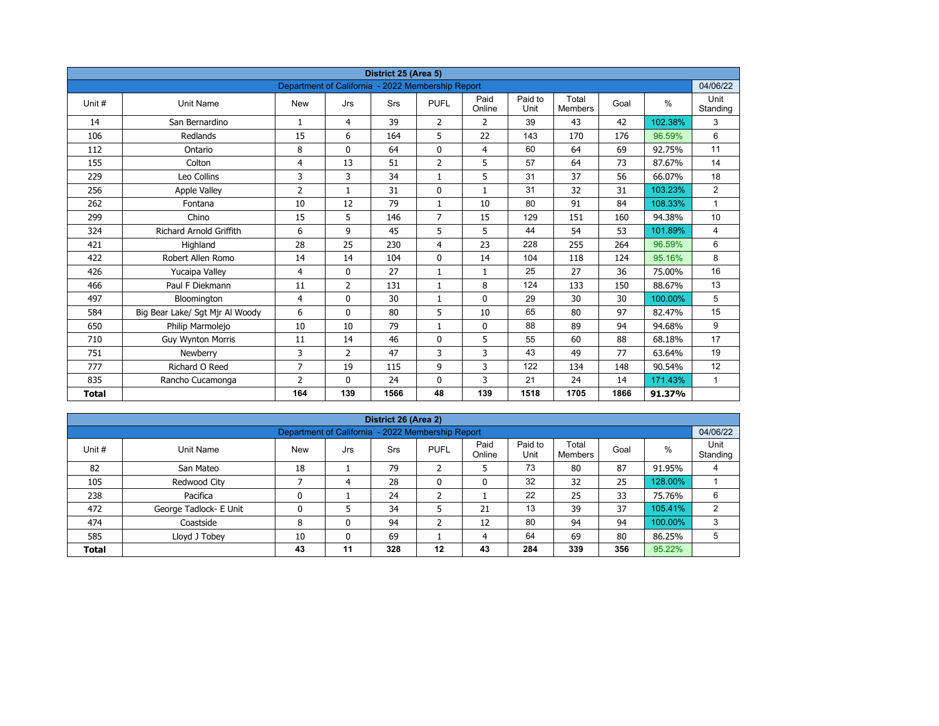| District 25 (Area 5)<br>Department of California - 2022 Membership Report |                                 |                |                |            |                |                |                 |                         |      |         |                  |  |  |
|---------------------------------------------------------------------------|---------------------------------|----------------|----------------|------------|----------------|----------------|-----------------|-------------------------|------|---------|------------------|--|--|
|                                                                           |                                 |                |                |            |                |                |                 |                         |      |         | 04/06/22         |  |  |
| Unit#                                                                     | Unit Name                       | <b>New</b>     | Jrs            | <b>Srs</b> | <b>PUFL</b>    | Paid<br>Online | Paid to<br>Unit | Total<br><b>Members</b> | Goal | $\%$    | Unit<br>Standing |  |  |
| 14                                                                        | San Bernardino                  | $\mathbf{1}$   | 4              | 39         | $\overline{2}$ | $\overline{2}$ | 39              | 43                      | 42   | 102.38% | 3                |  |  |
| 106                                                                       | Redlands                        | 15             | 6              | 164        | 5              | 22             | 143             | 170                     | 176  | 96.59%  | 6                |  |  |
| 112                                                                       | Ontario                         | 8              | $\Omega$       | 64         | $\mathbf 0$    | $\overline{4}$ | 60              | 64                      | 69   | 92.75%  | 11               |  |  |
| 155                                                                       | Colton                          | 4              | 13             | 51         | $\overline{2}$ | 5              | 57              | 64                      | 73   | 87.67%  | 14               |  |  |
| 229                                                                       | Leo Collins                     | 3              | 3              | 34         | $\mathbf{1}$   | 5              | 31              | 37                      | 56   | 66.07%  | 18               |  |  |
| 256                                                                       | <b>Apple Valley</b>             | 2              | $\mathbf{1}$   | 31         | $\mathbf{0}$   | $\mathbf{1}$   | 31              | 32                      | 31   | 103.23% | $\overline{2}$   |  |  |
| 262                                                                       | Fontana                         | 10             | 12             | 79         | $\mathbf{1}$   | 10             | 80              | 91                      | 84   | 108.33% | $\mathbf{1}$     |  |  |
| 299                                                                       | Chino                           | 15             | 5              | 146        | $\overline{7}$ | 15             | 129             | 151                     | 160  | 94.38%  | 10               |  |  |
| 324                                                                       | <b>Richard Arnold Griffith</b>  | 6              | 9              | 45         | 5              | 5              | 44              | 54                      | 53   | 101.89% | 4                |  |  |
| 421                                                                       | Highland                        | 28             | 25             | 230        | 4              | 23             | 228             | 255                     | 264  | 96.59%  | 6                |  |  |
| 422                                                                       | Robert Allen Romo               | 14             | 14             | 104        | $\mathbf{0}$   | 14             | 104             | 118                     | 124  | 95.16%  | 8                |  |  |
| 426                                                                       | Yucaipa Valley                  | 4              | $\Omega$       | 27         | $\mathbf{1}$   | $\mathbf{1}$   | 25              | 27                      | 36   | 75.00%  | 16               |  |  |
| 466                                                                       | Paul F Diekmann                 | 11             | $\overline{2}$ | 131        | $\mathbf{1}$   | 8              | 124             | 133                     | 150  | 88.67%  | 13               |  |  |
| 497                                                                       | Bloomington                     | 4              | 0              | 30         | $\mathbf{1}$   | $\mathbf 0$    | 29              | 30                      | 30   | 100.00% | 5                |  |  |
| 584                                                                       | Big Bear Lake/ Sgt Mjr Al Woody | 6              | $\mathbf{0}$   | 80         | 5              | 10             | 65              | 80                      | 97   | 82.47%  | 15               |  |  |
| 650                                                                       | Philip Marmolejo                | 10             | 10             | 79         | $\mathbf{1}$   | 0              | 88              | 89                      | 94   | 94.68%  | 9                |  |  |
| 710                                                                       | <b>Guy Wynton Morris</b>        | 11             | 14             | 46         | $\mathbf{0}$   | 5              | 55              | 60                      | 88   | 68.18%  | 17               |  |  |
| 751                                                                       | Newberry                        | 3              | $\overline{2}$ | 47         | 3              | 3              | 43              | 49                      | 77   | 63.64%  | 19               |  |  |
| 777                                                                       | Richard O Reed                  | 7              | 19             | 115        | 9              | 3              | 122             | 134                     | 148  | 90.54%  | 12               |  |  |
| 835                                                                       | Rancho Cucamonga                | $\overline{2}$ | $\mathbf{0}$   | 24         | 0              | 3              | 21              | 24                      | 14   | 171.43% | $\mathbf{1}$     |  |  |
| <b>Total</b>                                                              |                                 | 164            | 139            | 1566       | 48             | 139            | 1518            | 1705                    | 1866 | 91.37%  |                  |  |  |

| District 26 (Area 2) |                                                               |            |     |     |              |                |                 |                         |      |         |                  |  |  |  |  |
|----------------------|---------------------------------------------------------------|------------|-----|-----|--------------|----------------|-----------------|-------------------------|------|---------|------------------|--|--|--|--|
|                      | 04/06/22<br>Department of California - 2022 Membership Report |            |     |     |              |                |                 |                         |      |         |                  |  |  |  |  |
| Unit #               | Unit Name                                                     | <b>New</b> | Jrs | Srs | <b>PUFL</b>  | Paid<br>Online | Paid to<br>Unit | Total<br><b>Members</b> | Goal | %       | Unit<br>Standing |  |  |  |  |
| 82                   | San Mateo                                                     | 18         |     | 79  | h<br>∠       | כ              | 73              | 80                      | 87   | 91.95%  | 4                |  |  |  |  |
| 105                  | Redwood City                                                  |            | 4   | 28  | $\mathbf{0}$ | 0              | 32              | 32                      | 25   | 128.00% |                  |  |  |  |  |
| 238                  | Pacifica                                                      | 0          |     | 24  | h            |                | 22              | 25                      | 33   | 75.76%  | 6                |  |  |  |  |
| 472                  | George Tadlock- E Unit                                        | 0          |     | 34  |              | 21             | 13              | 39                      | 37   | 105.41% | 2                |  |  |  |  |
| 474                  | Coastside                                                     | 8          | 0   | 94  | h<br>∠       | 12             | 80              | 94                      | 94   | 100.00% | 3                |  |  |  |  |
| 585                  | Lloyd J Tobey                                                 | 10         | 0   | 69  |              | 4              | 64              | 69                      | 80   | 86.25%  | 5                |  |  |  |  |
| <b>Total</b>         |                                                               | 43         | 11  | 328 | $12 \,$      | 43             | 284             | 339                     | 356  | 95.22%  |                  |  |  |  |  |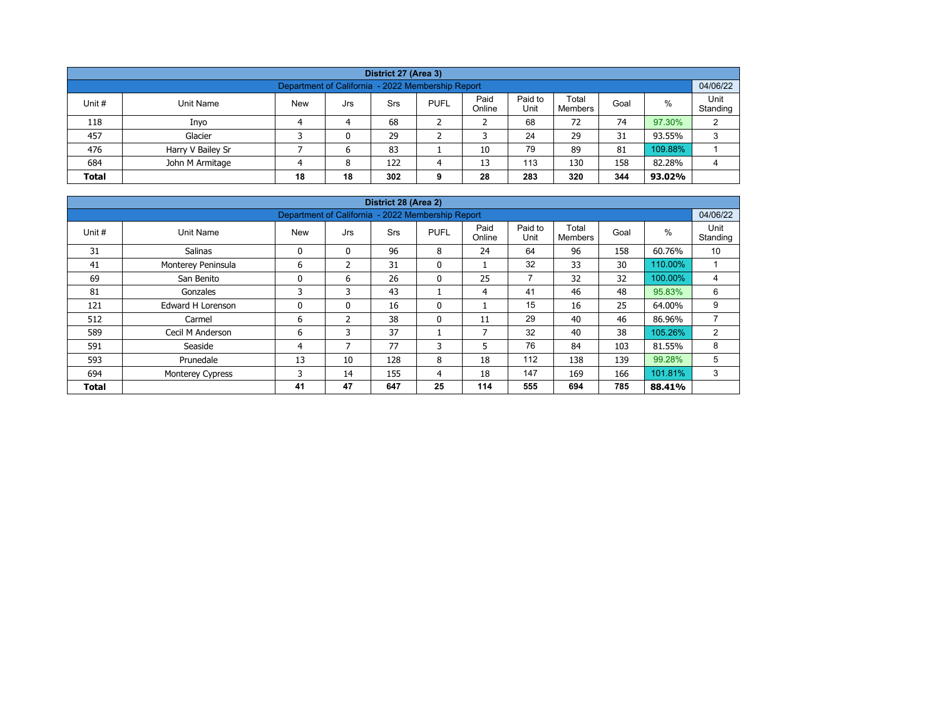| District 27 (Area 3)                                                                                                                                    |                   |  |   |     |   |    |     |     |     |         |   |  |  |  |
|---------------------------------------------------------------------------------------------------------------------------------------------------------|-------------------|--|---|-----|---|----|-----|-----|-----|---------|---|--|--|--|
| Department of California - 2022 Membership Report                                                                                                       |                   |  |   |     |   |    |     |     |     |         |   |  |  |  |
| Paid<br>Paid to<br>Total<br>%<br>Unit #<br><b>New</b><br><b>PUFL</b><br>Unit Name<br>Srs<br>Goal<br>Jrs<br>Unit<br>Online<br>Standing<br><b>Members</b> |                   |  |   |     |   |    |     |     |     |         |   |  |  |  |
| 118                                                                                                                                                     | Inyo              |  | 4 | 68  |   |    | 68  | 72  | 74  | 97.30%  | C |  |  |  |
| 457                                                                                                                                                     | Glacier           |  | 0 | 29  |   |    | 24  | 29  | 31  | 93.55%  | 3 |  |  |  |
| 476                                                                                                                                                     | Harry V Bailey Sr |  | 6 | 83  |   | 10 | 79  | 89  | 81  | 109.88% |   |  |  |  |
| 684                                                                                                                                                     | John M Armitage   |  | 8 | 122 | Δ | 13 | 113 | 130 | 158 | 82.28%  | 4 |  |  |  |
| 18<br>283<br>320<br>344<br>28<br><b>Total</b><br>18<br>302<br>93.02%<br>9                                                                               |                   |  |   |     |   |    |     |     |     |         |   |  |  |  |

| District 28 (Area 2) |                         |                                                   |               |            |              |                          |                 |                         |      |         |                  |  |  |  |
|----------------------|-------------------------|---------------------------------------------------|---------------|------------|--------------|--------------------------|-----------------|-------------------------|------|---------|------------------|--|--|--|
|                      |                         | Department of California - 2022 Membership Report |               |            |              |                          |                 |                         |      |         | 04/06/22         |  |  |  |
| Unit #               | Unit Name               | <b>New</b>                                        | Jrs           | <b>Srs</b> | <b>PUFL</b>  | Paid<br>Online           | Paid to<br>Unit | Total<br><b>Members</b> | Goal | $\%$    | Unit<br>Standing |  |  |  |
| 31                   | <b>Salinas</b>          | 0                                                 | $\mathbf{0}$  | 96         | 8            | 24                       | 64              | 96                      | 158  | 60.76%  | 10               |  |  |  |
| 41                   | Monterey Peninsula      | 6                                                 | $\mathcal{P}$ | 31         | $\mathbf{0}$ |                          | 32              | 33                      | 30   | 110.00% |                  |  |  |  |
| 69                   | San Benito              | 0                                                 | 6             | 26         | 0            | 25                       | $\overline{7}$  | 32                      | 32   | 100.00% | 4                |  |  |  |
| 81                   | Gonzales                | 3                                                 | 3             | 43         |              | 4                        | 41              | 46                      | 48   | 95.83%  | 6                |  |  |  |
| 121                  | Edward H Lorenson       | 0                                                 | $\mathbf{0}$  | 16         | $\mathbf{0}$ |                          | 15              | 16                      | 25   | 64.00%  | 9                |  |  |  |
| 512                  | Carmel                  | 6                                                 | 2             | 38         | $\mathbf{0}$ | 11                       | 29              | 40                      | 46   | 86.96%  | $\overline{ }$   |  |  |  |
| 589                  | Cecil M Anderson        | 6                                                 | 3             | 37         |              | $\overline{\phantom{a}}$ | 32              | 40                      | 38   | 105.26% | 2                |  |  |  |
| 591                  | Seaside                 | 4                                                 | 7             | 77         | 3            | 5                        | 76              | 84                      | 103  | 81.55%  | 8                |  |  |  |
| 593                  | Prunedale               | 13                                                | 10            | 128        | 8            | 18                       | 112             | 138                     | 139  | 99.28%  | 5                |  |  |  |
| 694                  | <b>Monterey Cypress</b> | 3                                                 | 14            | 155        | 4            | 18                       | 147             | 169                     | 166  | 101.81% | 3                |  |  |  |
| <b>Total</b>         |                         | 41                                                | 47            | 647        | 25           | 114                      | 555             | 694                     | 785  | 88.41%  |                  |  |  |  |